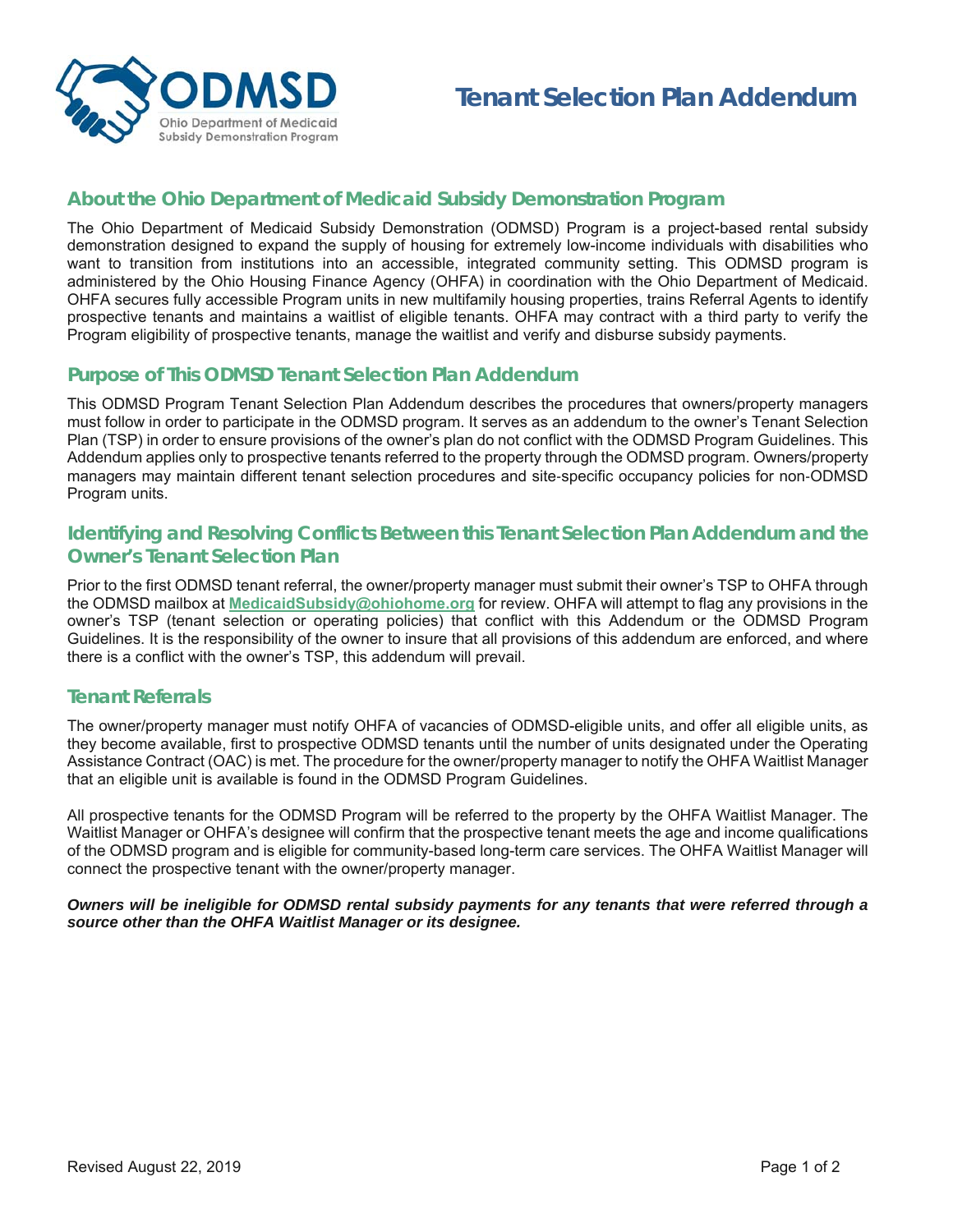

# **About the Ohio Department of Medicaid Subsidy Demonstration Program**

The Ohio Department of Medicaid Subsidy Demonstration (ODMSD) Program is a project-based rental subsidy demonstration designed to expand the supply of housing for extremely low-income individuals with disabilities who want to transition from institutions into an accessible, integrated community setting. This ODMSD program is administered by the Ohio Housing Finance Agency (OHFA) in coordination with the Ohio Department of Medicaid. OHFA secures fully accessible Program units in new multifamily housing properties, trains Referral Agents to identify prospective tenants and maintains a waitlist of eligible tenants. OHFA may contract with a third party to verify the Program eligibility of prospective tenants, manage the waitlist and verify and disburse subsidy payments.

## **Purpose of This ODMSD Tenant Selection Plan Addendum**

This ODMSD Program Tenant Selection Plan Addendum describes the procedures that owners/property managers must follow in order to participate in the ODMSD program. It serves as an addendum to the owner's Tenant Selection Plan (TSP) in order to ensure provisions of the owner's plan do not conflict with the ODMSD Program Guidelines. This Addendum applies only to prospective tenants referred to the property through the ODMSD program. Owners/property managers may maintain different tenant selection procedures and site‐specific occupancy policies for non‐ODMSD Program units.

## **Identifying and Resolving Conflicts Between this Tenant Selection Plan Addendum and the Owner's Tenant Selection Plan**

Prior to the first ODMSD tenant referral, the owner/property manager must submit their owner's TSP to OHFA through the ODMSD mailbox at **MedicaidSubsidy@ohiohome.org** for review. OHFA will attempt to flag any provisions in the owner's TSP (tenant selection or operating policies) that conflict with this Addendum or the ODMSD Program Guidelines. It is the responsibility of the owner to insure that all provisions of this addendum are enforced, and where there is a conflict with the owner's TSP, this addendum will prevail.

### **Tenant Referrals**

The owner/property manager must notify OHFA of vacancies of ODMSD-eligible units, and offer all eligible units, as they become available, first to prospective ODMSD tenants until the number of units designated under the Operating Assistance Contract (OAC) is met. The procedure for the owner/property manager to notify the OHFA Waitlist Manager that an eligible unit is available is found in the ODMSD Program Guidelines.

All prospective tenants for the ODMSD Program will be referred to the property by the OHFA Waitlist Manager. The Waitlist Manager or OHFA's designee will confirm that the prospective tenant meets the age and income qualifications of the ODMSD program and is eligible for community-based long-term care services. The OHFA Waitlist Manager will connect the prospective tenant with the owner/property manager.

#### *Owners will be ineligible for ODMSD rental subsidy payments for any tenants that were referred through a source other than the OHFA Waitlist Manager or its designee.*